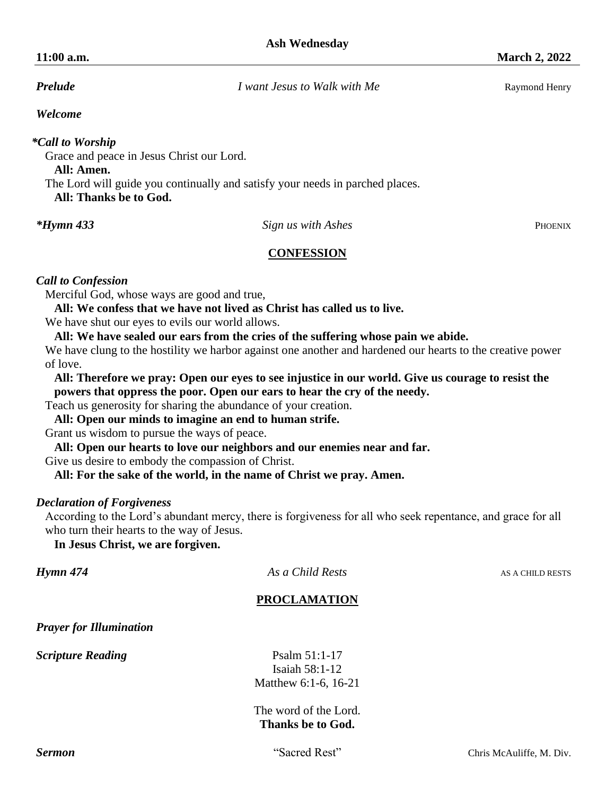## *Welcome*

*\*Call to Worship*

Grace and peace in Jesus Christ our Lord.

 **All: Amen.** 

The Lord will guide you continually and satisfy your needs in parched places.  **All: Thanks be to God.**

*\*Hymn 433 Sign us with Ashes* PHOENIX

**CONFESSION**

### *Call to Confession*

Merciful God, whose ways are good and true,

 **All: We confess that we have not lived as Christ has called us to live.** 

We have shut our eyes to evils our world allows.

 **All: We have sealed our ears from the cries of the suffering whose pain we abide.** 

We have clung to the hostility we harbor against one another and hardened our hearts to the creative power of love.

 **All: Therefore we pray: Open our eyes to see injustice in our world. Give us courage to resist the powers that oppress the poor. Open our ears to hear the cry of the needy.**

Teach us generosity for sharing the abundance of your creation.

 **All: Open our minds to imagine an end to human strife.** 

Grant us wisdom to pursue the ways of peace.

 **All: Open our hearts to love our neighbors and our enemies near and far.** 

Give us desire to embody the compassion of Christ.

 **All: For the sake of the world, in the name of Christ we pray. Amen.**

# *Declaration of Forgiveness*

According to the Lord's abundant mercy, there is forgiveness for all who seek repentance, and grace for all who turn their hearts to the way of Jesus.

 **In Jesus Christ, we are forgiven.** 

*As a Child Rests* As a Child Rests AS A CHILD RESTS

# **PROCLAMATION**

*Prayer for Illumination*

**Scripture Reading**  Psalm 51:1-17

Isaiah 58:1-12 Matthew 6:1-6, 16-21

The word of the Lord. **Thanks be to God.**

*Prelude I want Jesus to Walk with Me* **Raymond Henry** 

**Ash Wednesday**